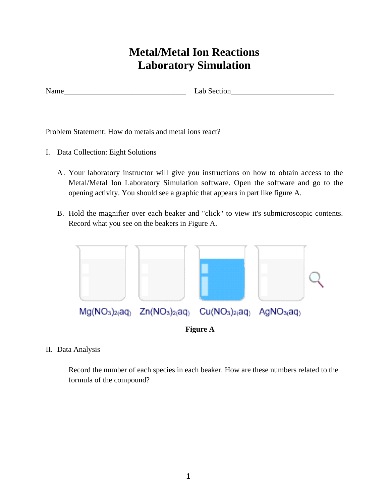# **Metal/Metal Ion Reactions Laboratory Simulation**

Name Lab Section

Problem Statement: How do metals and metal ions react?

- I. Data Collection: Eight Solutions
	- A. Your laboratory instructor will give you instructions on how to obtain access to the Metal/Metal Ion Laboratory Simulation software. Open the software and go to the opening activity. You should see a graphic that appears in part like figure A.
	- B. Hold the magnifier over each beaker and "click" to view it's submicroscopic contents. Record what you see on the beakers in Figure A.



II. Data Analysis

Record the number of each species in each beaker. How are these numbers related to the formula of the compound?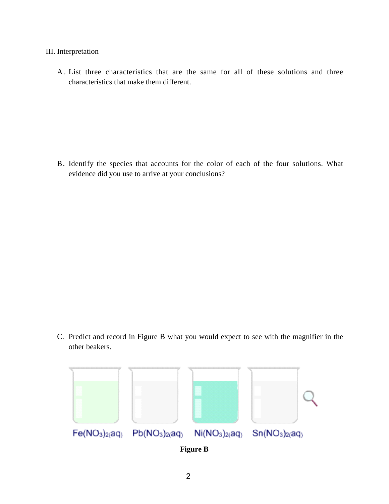#### III. Interpretation

A . List three characteristics that are the same for all of these solutions and three characteristics that make them different.

B. Identify the species that accounts for the color of each of the four solutions. What evidence did you use to arrive at your conclusions?

C. Predict and record in Figure B what you would expect to see with the magnifier in the other beakers.



**Figure B**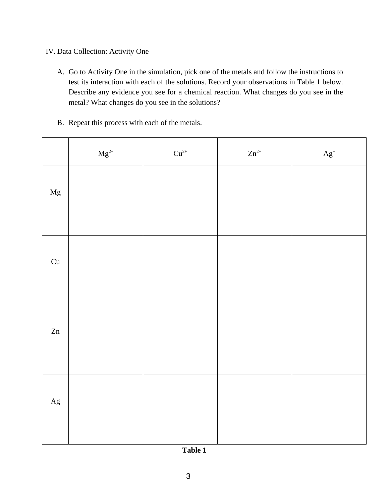## IV. Data Collection: Activity One

- A. Go to Activity One in the simulation, pick one of the metals and follow the instructions to test its interaction with each of the solutions. Record your observations in Table 1 below. Describe any evidence you see for a chemical reaction. What changes do you see in the metal? What changes do you see in the solutions?
- B. Repeat this process with each of the metals.

|             | $\rm Mg^{2+}$ | $Cu^{2+}$ | $Zn^{2+}$ | $\mathbf{A} \mathbf{g}^*$ |
|-------------|---------------|-----------|-----------|---------------------------|
| $_{\rm Mg}$ |               |           |           |                           |
| Cu          |               |           |           |                           |
| Zn          |               |           |           |                           |
| $\rm Ag$    |               |           |           |                           |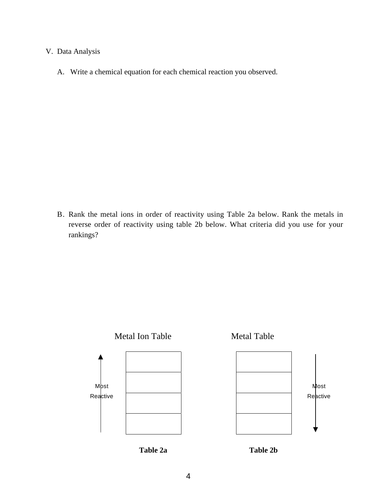### V. Data Analysis

A. Write a chemical equation for each chemical reaction you observed.

B. Rank the metal ions in order of reactivity using Table 2a below. Rank the metals in reverse order of reactivity using table 2b below. What criteria did you use for your rankings?



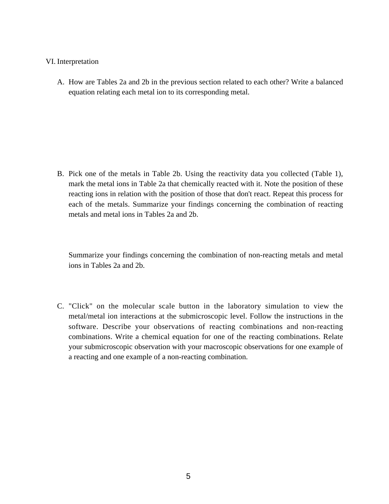#### VI. Interpretation

A. How are Tables 2a and 2b in the previous section related to each other? Write a balanced equation relating each metal ion to its corresponding metal.

B. Pick one of the metals in Table 2b. Using the reactivity data you collected (Table 1), mark the metal ions in Table 2a that chemically reacted with it. Note the position of these reacting ions in relation with the position of those that don't react. Repeat this process for each of the metals. Summarize your findings concerning the combination of reacting metals and metal ions in Tables 2a and 2b.

Summarize your findings concerning the combination of non-reacting metals and metal ions in Tables 2a and 2b.

C. "Click" on the molecular scale button in the laboratory simulation to view the metal/metal ion interactions at the submicroscopic level. Follow the instructions in the software. Describe your observations of reacting combinations and non-reacting combinations. Write a chemical equation for one of the reacting combinations. Relate your submicroscopic observation with your macroscopic observations for one example of a reacting and one example of a non-reacting combination.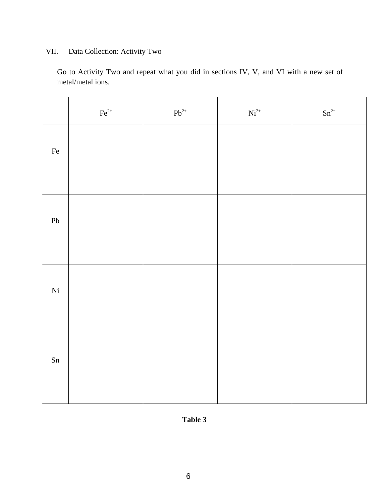# VII. Data Collection: Activity Two

Go to Activity Two and repeat what you did in sections IV, V, and VI with a new set of metal/metal ions.

|            | $\rm Fe^{2+}$ | $\mathrm{Pb}^{2+}$ | $\mathrm{Ni}^{2+}$ | $\rm{Sn}^{2+}$ |
|------------|---------------|--------------------|--------------------|----------------|
| $\rm Fe$   |               |                    |                    |                |
|            |               |                    |                    |                |
| ${\rm Pb}$ |               |                    |                    |                |
|            |               |                    |                    |                |
| Ni         |               |                    |                    |                |
|            |               |                    |                    |                |
| Sn         |               |                    |                    |                |
|            |               |                    |                    |                |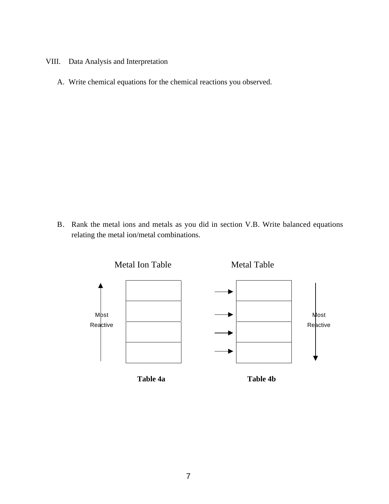- VIII. Data Analysis and Interpretation
	- A. Write chemical equations for the chemical reactions you observed.

B. Rank the metal ions and metals as you did in section V.B. Write balanced equations relating the metal ion/metal combinations.

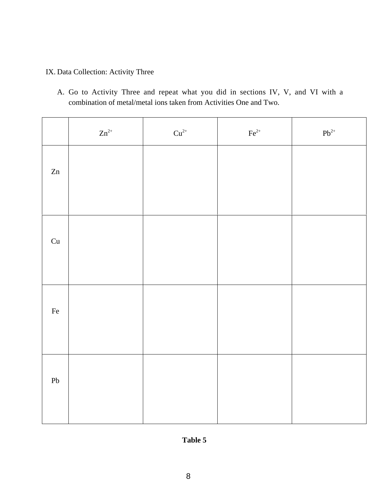# IX. Data Collection: Activity Three

A. Go to Activity Three and repeat what you did in sections IV, V, and VI with a combination of metal/metal ions taken from Activities One and Two.

|            | $\rm Zn^{2+}$ | $\mathrm{Cu}^{2+}$ | $\mbox{Fe}^{2+}$ | $\mathrm{Pb}^{2+}$ |
|------------|---------------|--------------------|------------------|--------------------|
| Zn         |               |                    |                  |                    |
| Cu         |               |                    |                  |                    |
| $\rm Fe$   |               |                    |                  |                    |
| ${\rm Pb}$ |               |                    |                  |                    |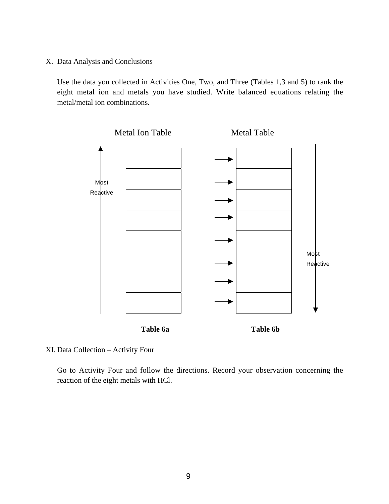X. Data Analysis and Conclusions

Use the data you collected in Activities One, Two, and Three (Tables 1,3 and 5) to rank the eight metal ion and metals you have studied. Write balanced equations relating the metal/metal ion combinations.



XI. Data Collection – Activity Four

Go to Activity Four and follow the directions. Record your observation concerning the reaction of the eight metals with HCl.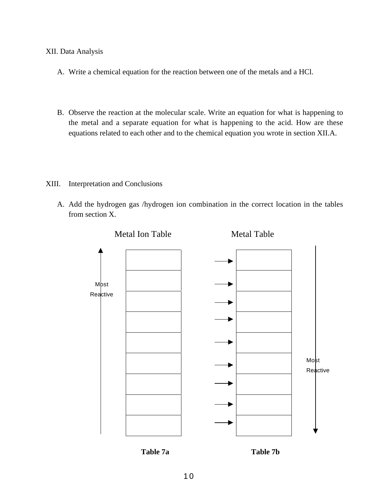#### XII. Data Analysis

- A. Write a chemical equation for the reaction between one of the metals and a HCl.
- B. Observe the reaction at the molecular scale. Write an equation for what is happening to the metal and a separate equation for what is happening to the acid. How are these equations related to each other and to the chemical equation you wrote in section XII.A.
- XIII. Interpretation and Conclusions
	- A. Add the hydrogen gas /hydrogen ion combination in the correct location in the tables from section X.